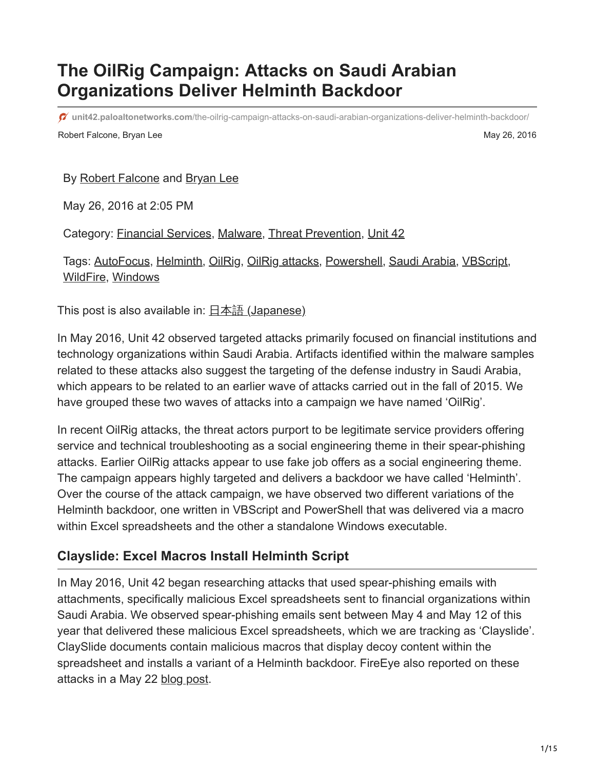# **The OilRig Campaign: Attacks on Saudi Arabian Organizations Deliver Helminth Backdoor**

**unit42.paloaltonetworks.com**[/the-oilrig-campaign-attacks-on-saudi-arabian-organizations-deliver-helminth-backdoor/](https://unit42.paloaltonetworks.com/the-oilrig-campaign-attacks-on-saudi-arabian-organizations-deliver-helminth-backdoor/)

Robert Falcone, Bryan Lee May 26, 2016

#### By [Robert Falcone](https://unit42.paloaltonetworks.com/author/robertfalcone/) and [Bryan Lee](https://unit42.paloaltonetworks.com/author/bryanlee/)

May 26, 2016 at 2:05 PM

Category: [Financial Services,](https://unit42.paloaltonetworks.com/category/financial-services/) [Malware,](https://unit42.paloaltonetworks.com/category/malware-2/) [Threat Prevention,](https://unit42.paloaltonetworks.com/category/threat-prevention-2/) [Unit 42](https://unit42.paloaltonetworks.com/category/unit42/)

Tags: [AutoFocus](https://unit42.paloaltonetworks.com/tag/autofocus/), [Helminth](https://unit42.paloaltonetworks.com/tag/helminth/), [OilRig,](https://unit42.paloaltonetworks.com/tag/oilrig/) [OilRig attacks](https://unit42.paloaltonetworks.com/tag/oilrig-attacks/), [Powershell,](https://unit42.paloaltonetworks.com/tag/powershell/) [Saudi Arabia,](https://unit42.paloaltonetworks.com/tag/saudi-arabia/) [VBScript,](https://unit42.paloaltonetworks.com/tag/vbscript/) [WildFire,](https://unit42.paloaltonetworks.com/tag/wildfire/) [Windows](https://unit42.paloaltonetworks.com/tag/windows/)

This post is also available in:  $\underline{\Box}$   $\underline{\Diamond}$  [\(Japanese\)](https://unit42.paloaltonetworks.jp/the-oilrig-campaign-attacks-on-saudi-arabian-organizations-deliver-helminth-backdoor/)

In May 2016, Unit 42 observed targeted attacks primarily focused on financial institutions and technology organizations within Saudi Arabia. Artifacts identified within the malware samples related to these attacks also suggest the targeting of the defense industry in Saudi Arabia, which appears to be related to an earlier wave of attacks carried out in the fall of 2015. We have grouped these two waves of attacks into a campaign we have named 'OilRig'.

In recent OilRig attacks, the threat actors purport to be legitimate service providers offering service and technical troubleshooting as a social engineering theme in their spear-phishing attacks. Earlier OilRig attacks appear to use fake job offers as a social engineering theme. The campaign appears highly targeted and delivers a backdoor we have called 'Helminth'. Over the course of the attack campaign, we have observed two different variations of the Helminth backdoor, one written in VBScript and PowerShell that was delivered via a macro within Excel spreadsheets and the other a standalone Windows executable.

### **Clayslide: Excel Macros Install Helminth Script**

In May 2016, Unit 42 began researching attacks that used spear-phishing emails with attachments, specifically malicious Excel spreadsheets sent to financial organizations within Saudi Arabia. We observed spear-phishing emails sent between May 4 and May 12 of this year that delivered these malicious Excel spreadsheets, which we are tracking as 'Clayslide'. ClaySlide documents contain malicious macros that display decoy content within the spreadsheet and installs a variant of a Helminth backdoor. FireEye also reported on these attacks in a May 22 [blog post](https://www.fireeye.com/blog/threat-research/2016/05/targeted_attacksaga.html).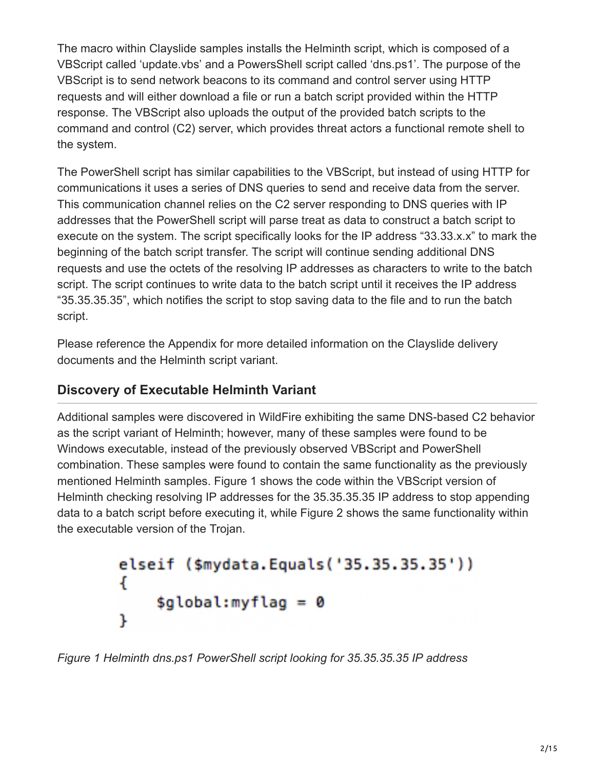The macro within Clayslide samples installs the Helminth script, which is composed of a VBScript called 'update.vbs' and a PowersShell script called 'dns.ps1'. The purpose of the VBScript is to send network beacons to its command and control server using HTTP requests and will either download a file or run a batch script provided within the HTTP response. The VBScript also uploads the output of the provided batch scripts to the command and control (C2) server, which provides threat actors a functional remote shell to the system.

The PowerShell script has similar capabilities to the VBScript, but instead of using HTTP for communications it uses a series of DNS queries to send and receive data from the server. This communication channel relies on the C2 server responding to DNS queries with IP addresses that the PowerShell script will parse treat as data to construct a batch script to execute on the system. The script specifically looks for the IP address "33.33.x.x" to mark the beginning of the batch script transfer. The script will continue sending additional DNS requests and use the octets of the resolving IP addresses as characters to write to the batch script. The script continues to write data to the batch script until it receives the IP address "35.35.35.35", which notifies the script to stop saving data to the file and to run the batch script.

Please reference the Appendix for more detailed information on the Clayslide delivery documents and the Helminth script variant.

## **Discovery of Executable Helminth Variant**

Additional samples were discovered in WildFire exhibiting the same DNS-based C2 behavior as the script variant of Helminth; however, many of these samples were found to be Windows executable, instead of the previously observed VBScript and PowerShell combination. These samples were found to contain the same functionality as the previously mentioned Helminth samples. Figure 1 shows the code within the VBScript version of Helminth checking resolving IP addresses for the 35.35.35.35 IP address to stop appending data to a batch script before executing it, while Figure 2 shows the same functionality within the executable version of the Trojan.

```
elseif ($mydata.Equals('35.35.35.35'))
ł
    $global:myflag = 0ŀ
```
*Figure 1 Helminth dns.ps1 PowerShell script looking for 35.35.35.35 IP address*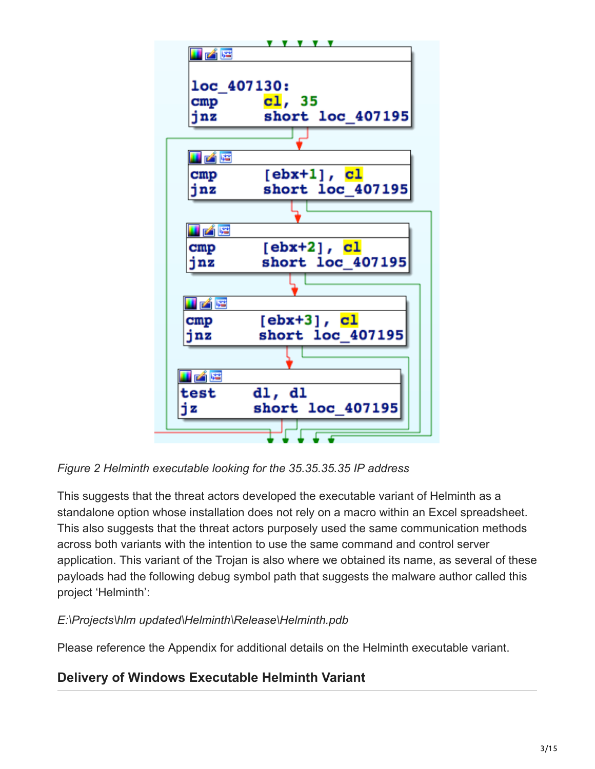

*Figure 2 Helminth executable looking for the 35.35.35.35 IP address*

This suggests that the threat actors developed the executable variant of Helminth as a standalone option whose installation does not rely on a macro within an Excel spreadsheet. This also suggests that the threat actors purposely used the same communication methods across both variants with the intention to use the same command and control server application. This variant of the Trojan is also where we obtained its name, as several of these payloads had the following debug symbol path that suggests the malware author called this project 'Helminth':

#### *E:\Projects\hlm updated\Helminth\Release\Helminth.pdb*

Please reference the Appendix for additional details on the Helminth executable variant.

## **Delivery of Windows Executable Helminth Variant**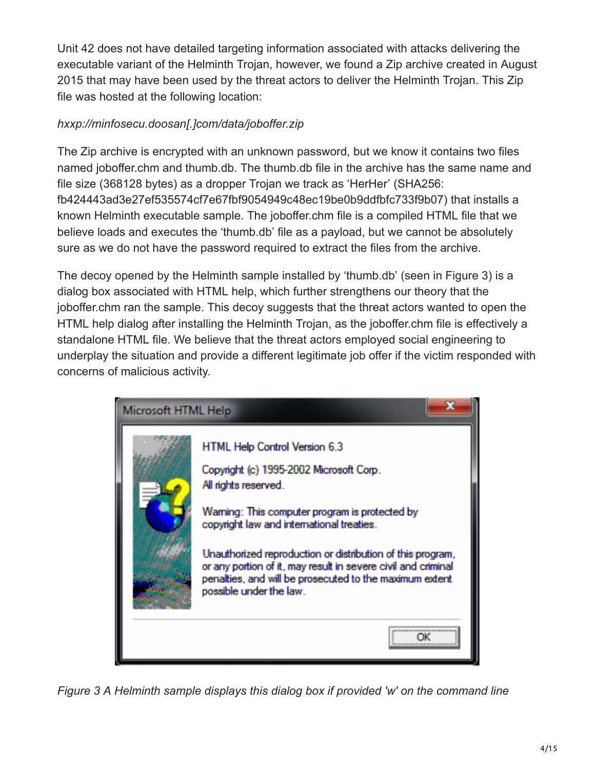Unit 42 does not have detailed targeting information associated with attacks delivering the executable variant of the Helminth Trojan, however, we found a Zip archive created in August 2015 that may have been used by the threat actors to deliver the Helminth Trojan. This Zip file was hosted at the following location:

#### *hxxp://minfosecu.doosan[.]com/data/joboffer.zip*

The Zip archive is encrypted with an unknown password, but we know it contains two files named joboffer.chm and thumb.db. The thumb.db file in the archive has the same name and file size (368128 bytes) as a dropper Trojan we track as 'HerHer' (SHA256: fb424443ad3e27ef535574cf7e67fbf9054949c48ec19be0b9ddfbfc733f9b07) that installs a known Helminth executable sample. The joboffer.chm file is a compiled HTML file that we believe loads and executes the 'thumb.db' file as a payload, but we cannot be absolutely sure as we do not have the password required to extract the files from the archive.

The decoy opened by the Helminth sample installed by 'thumb.db' (seen in Figure 3) is a dialog box associated with HTML help, which further strengthens our theory that the joboffer.chm ran the sample. This decoy suggests that the threat actors wanted to open the HTML help dialog after installing the Helminth Trojan, as the joboffer.chm file is effectively a standalone HTML file. We believe that the threat actors employed social engineering to underplay the situation and provide a different legitimate job offer if the victim responded with concerns of malicious activity.

| Microsoft HTML Help |                                                                                                                                                                                                                                                                                                                                                                                                                     |
|---------------------|---------------------------------------------------------------------------------------------------------------------------------------------------------------------------------------------------------------------------------------------------------------------------------------------------------------------------------------------------------------------------------------------------------------------|
|                     | HTML Help Control Version 6.3<br>Copyright (c) 1995-2002 Microsoft Corp.<br>All rights reserved.<br>Waming: This computer program is protected by<br>copyright law and international treaties.<br>Unauthorized reproduction or distribution of this program,<br>or any portion of it, may result in severe civil and criminal<br>penalties, and will be prosecuted to the maximum extent<br>possible under the law. |
|                     | ----------------------------<br>******************************                                                                                                                                                                                                                                                                                                                                                      |

*Figure 3 A Helminth sample displays this dialog box if provided 'w' on the command line*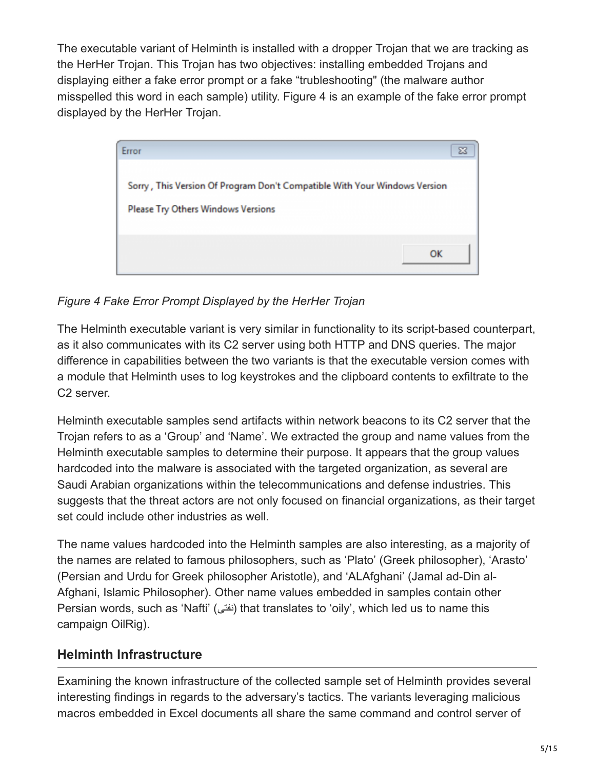The executable variant of Helminth is installed with a dropper Trojan that we are tracking as the HerHer Trojan. This Trojan has two objectives: installing embedded Trojans and displaying either a fake error prompt or a fake "trubleshooting" (the malware author misspelled this word in each sample) utility. Figure 4 is an example of the fake error prompt displayed by the HerHer Trojan.



*Figure 4 Fake Error Prompt Displayed by the HerHer Trojan*

The Helminth executable variant is very similar in functionality to its script-based counterpart, as it also communicates with its C2 server using both HTTP and DNS queries. The major difference in capabilities between the two variants is that the executable version comes with a module that Helminth uses to log keystrokes and the clipboard contents to exfiltrate to the C2 server.

Helminth executable samples send artifacts within network beacons to its C2 server that the Trojan refers to as a 'Group' and 'Name'. We extracted the group and name values from the Helminth executable samples to determine their purpose. It appears that the group values hardcoded into the malware is associated with the targeted organization, as several are Saudi Arabian organizations within the telecommunications and defense industries. This suggests that the threat actors are not only focused on financial organizations, as their target set could include other industries as well.

The name values hardcoded into the Helminth samples are also interesting, as a majority of the names are related to famous philosophers, such as 'Plato' (Greek philosopher), 'Arasto' (Persian and Urdu for Greek philosopher Aristotle), and 'ALAfghani' (Jamal ad-Din al-Afghani, Islamic Philosopher). Other name values embedded in samples contain other Persian words, such as 'Nafti' (نفتی) that translates to 'oily', which led us to name this campaign OilRig).

## **Helminth Infrastructure**

Examining the known infrastructure of the collected sample set of Helminth provides several interesting findings in regards to the adversary's tactics. The variants leveraging malicious macros embedded in Excel documents all share the same command and control server of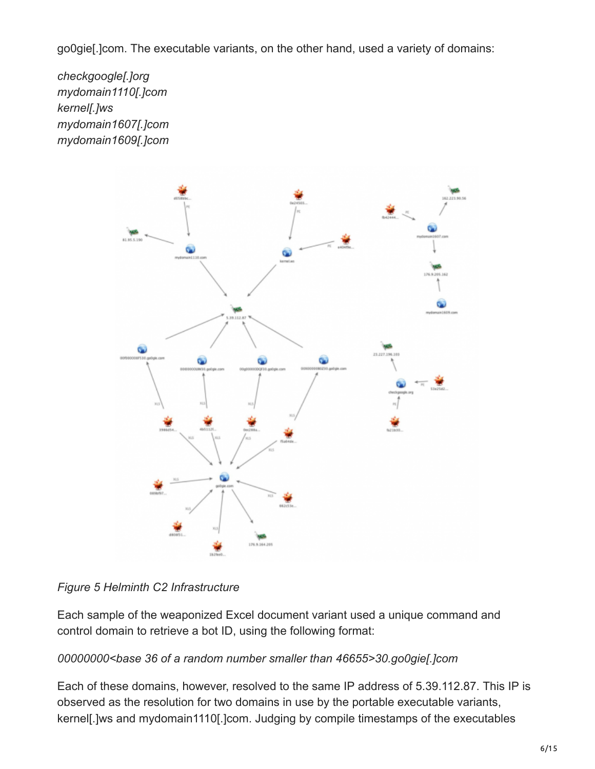go0gie[.]com. The executable variants, on the other hand, used a variety of domains:

*checkgoogle[.]org mydomain1110[.]com kernel[.]ws mydomain1607[.]com mydomain1609[.]com*



#### *Figure 5 Helminth C2 Infrastructure*

Each sample of the weaponized Excel document variant used a unique command and control domain to retrieve a bot ID, using the following format:

#### *00000000<base 36 of a random number smaller than 46655>30.go0gie[.]com*

Each of these domains, however, resolved to the same IP address of 5.39.112.87. This IP is observed as the resolution for two domains in use by the portable executable variants, kernel[.]ws and mydomain1110[.]com. Judging by compile timestamps of the executables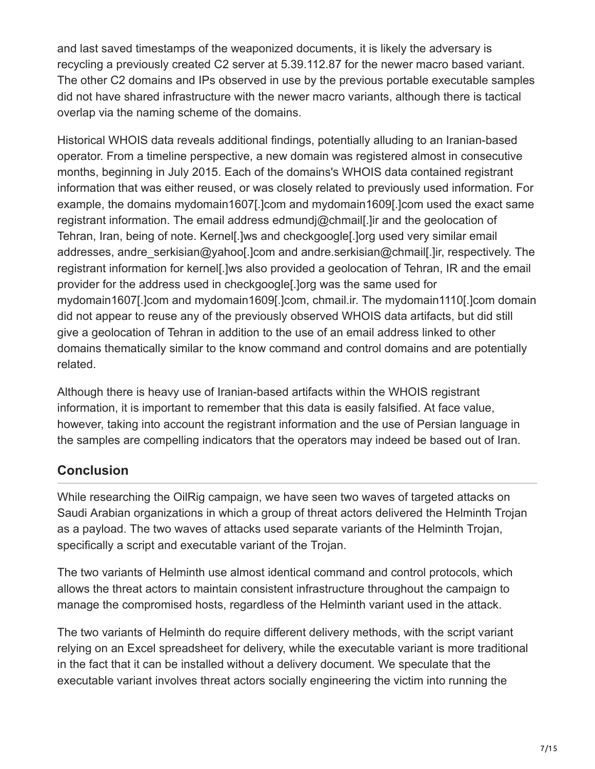and last saved timestamps of the weaponized documents, it is likely the adversary is recycling a previously created C2 server at 5.39.112.87 for the newer macro based variant. The other C2 domains and IPs observed in use by the previous portable executable samples did not have shared infrastructure with the newer macro variants, although there is tactical overlap via the naming scheme of the domains.

Historical WHOIS data reveals additional findings, potentially alluding to an Iranian-based operator. From a timeline perspective, a new domain was registered almost in consecutive months, beginning in July 2015. Each of the domains's WHOIS data contained registrant information that was either reused, or was closely related to previously used information. For example, the domains mydomain1607[.]com and mydomain1609[.]com used the exact same registrant information. The email address edmundj@chmail[.]ir and the geolocation of Tehran, Iran, being of note. Kernel[.]ws and checkgoogle[.]org used very similar email addresses, andre serkisian@yahoo[.]com and andre.serkisian@chmail[.]ir, respectively. The registrant information for kernel[.]ws also provided a geolocation of Tehran, IR and the email provider for the address used in checkgoogle[.]org was the same used for mydomain1607[.]com and mydomain1609[.]com, chmail.ir. The mydomain1110[.]com domain did not appear to reuse any of the previously observed WHOIS data artifacts, but did still give a geolocation of Tehran in addition to the use of an email address linked to other domains thematically similar to the know command and control domains and are potentially related.

Although there is heavy use of Iranian-based artifacts within the WHOIS registrant information, it is important to remember that this data is easily falsified. At face value, however, taking into account the registrant information and the use of Persian language in the samples are compelling indicators that the operators may indeed be based out of Iran.

## **Conclusion**

While researching the OilRig campaign, we have seen two waves of targeted attacks on Saudi Arabian organizations in which a group of threat actors delivered the Helminth Trojan as a payload. The two waves of attacks used separate variants of the Helminth Trojan, specifically a script and executable variant of the Trojan.

The two variants of Helminth use almost identical command and control protocols, which allows the threat actors to maintain consistent infrastructure throughout the campaign to manage the compromised hosts, regardless of the Helminth variant used in the attack.

The two variants of Helminth do require different delivery methods, with the script variant relying on an Excel spreadsheet for delivery, while the executable variant is more traditional in the fact that it can be installed without a delivery document. We speculate that the executable variant involves threat actors socially engineering the victim into running the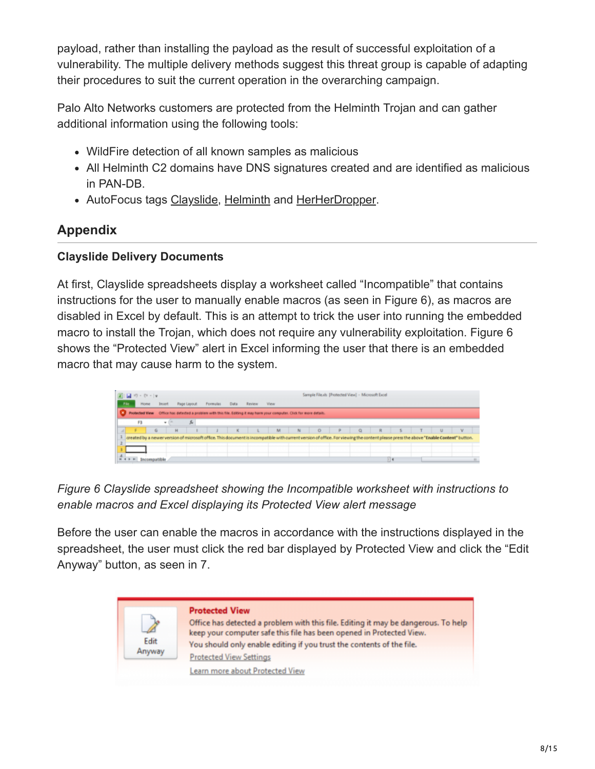payload, rather than installing the payload as the result of successful exploitation of a vulnerability. The multiple delivery methods suggest this threat group is capable of adapting their procedures to suit the current operation in the overarching campaign.

Palo Alto Networks customers are protected from the Helminth Trojan and can gather additional information using the following tools:

- WildFire detection of all known samples as malicious
- All Helminth C2 domains have DNS signatures created and are identified as malicious in PAN-DB.
- AutoFocus tags [Clayslide](https://autofocus.paloaltonetworks.com/#/tag/Unit42.Clayslide), [Helminth](https://autofocus.paloaltonetworks.com/#/tag/Unit42.Helminth) and [HerHerDropper](https://autofocus.paloaltonetworks.com/#/tag/Unit42.HerHerDropper).

## **Appendix**

#### **Clayslide Delivery Documents**

At first, Clayslide spreadsheets display a worksheet called "Incompatible" that contains instructions for the user to manually enable macros (as seen in Figure 6), as macros are disabled in Excel by default. This is an attempt to trick the user into running the embedded macro to install the Trojan, which does not require any vulnerability exploitation. Figure 6 shows the "Protected View" alert in Excel informing the user that there is an embedded macro that may cause harm to the system.

|       | 図目の、ロード                                                                                                                                                                               |               |                    |    |                 |              |              |      |       |                          |   | Sample File.xls [Protected View] - Microsoft Excel |   |        |        |     |
|-------|---------------------------------------------------------------------------------------------------------------------------------------------------------------------------------------|---------------|--------------------|----|-----------------|--------------|--------------|------|-------|--------------------------|---|----------------------------------------------------|---|--------|--------|-----|
| File. | Home                                                                                                                                                                                  | <b>Insert</b> | <b>Page Layout</b> |    | <b>Formulas</b> | Data         | Review       | View |       |                          |   |                                                    |   |        |        |     |
|       | Protected View Office has detected a problem with this file. Editing it may harm your computer. Click for more details.                                                               |               |                    |    |                 |              |              |      |       |                          |   |                                                    |   |        |        |     |
|       | F3                                                                                                                                                                                    | ٠             |                    | s. |                 |              |              |      |       |                          |   |                                                    |   |        |        |     |
|       |                                                                                                                                                                                       | G             | н                  |    |                 | $\mathbf{K}$ | and the con- | M    | $-10$ | $\overline{\phantom{a}}$ | P | $\Omega$                                           | R | $\sim$ | $\cup$ | - V |
|       | created by a newer version of microsoft office. This document is incompatible with current version of office. For viewing the content please press the above "Enable Content" button. |               |                    |    |                 |              |              |      |       |                          |   |                                                    |   |        |        |     |
|       |                                                                                                                                                                                       |               |                    |    |                 |              |              |      |       |                          |   |                                                    |   |        |        |     |
|       | H 4 F H Incompatible                                                                                                                                                                  |               |                    |    |                 |              |              |      |       |                          |   |                                                    |   |        |        |     |

### *Figure 6 Clayslide spreadsheet showing the Incompatible worksheet with instructions to enable macros and Excel displaying its Protected View alert message*

Before the user can enable the macros in accordance with the instructions displayed in the spreadsheet, the user must click the red bar displayed by Protected View and click the "Edit Anyway" button, as seen in 7.

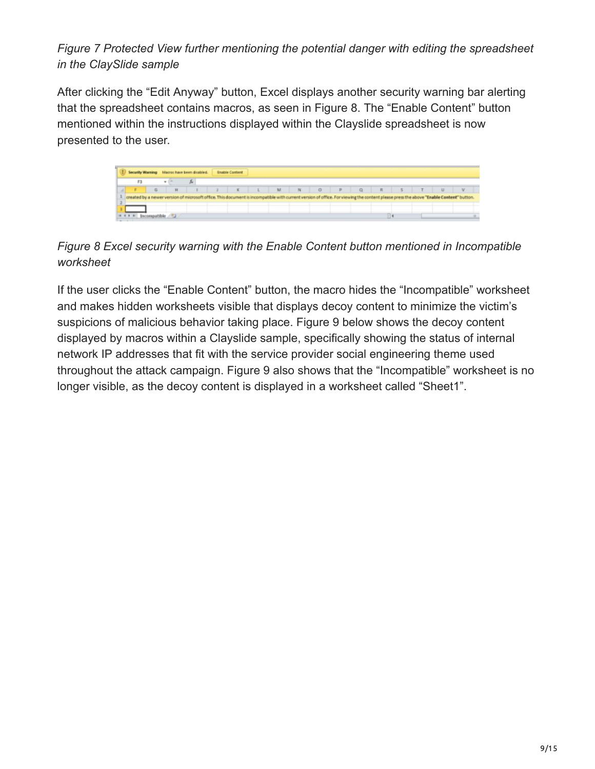*Figure 7 Protected View further mentioning the potential danger with editing the spreadsheet in the ClaySlide sample*

After clicking the "Edit Anyway" button, Excel displays another security warning bar alerting that the spreadsheet contains macros, as seen in Figure 8. The "Enable Content" button mentioned within the instructions displayed within the Clayslide spreadsheet is now presented to the user.



## *Figure 8 Excel security warning with the Enable Content button mentioned in Incompatible worksheet*

If the user clicks the "Enable Content" button, the macro hides the "Incompatible" worksheet and makes hidden worksheets visible that displays decoy content to minimize the victim's suspicions of malicious behavior taking place. Figure 9 below shows the decoy content displayed by macros within a Clayslide sample, specifically showing the status of internal network IP addresses that fit with the service provider social engineering theme used throughout the attack campaign. Figure 9 also shows that the "Incompatible" worksheet is no longer visible, as the decoy content is displayed in a worksheet called "Sheet1".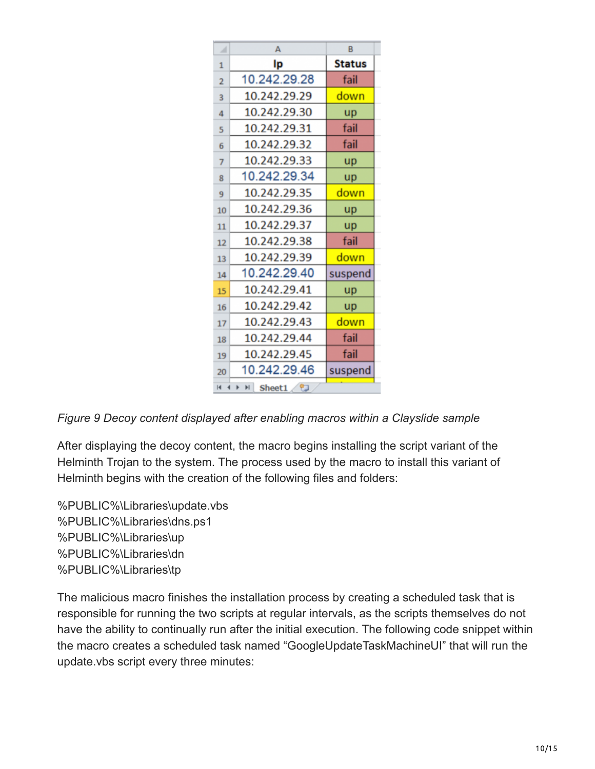| ⊿              | A                              | B             |
|----------------|--------------------------------|---------------|
| $\mathbf{1}$   | Ip                             | <b>Status</b> |
| $\overline{2}$ | 10.242.29.28                   | fail          |
| 3              | 10.242.29.29                   | down          |
| 4              | 10.242.29.30                   | <b>up</b>     |
| 5              | 10.242.29.31                   | fail          |
| 6              | 10.242.29.32                   | fail          |
| $\overline{7}$ | 10.242.29.33                   | up            |
| 8              | 10.242.29.34                   | up            |
| 9              | 10.242.29.35                   | down          |
| 10             | 10.242.29.36                   | up            |
| 11             | 10.242.29.37                   | up            |
| 12             | 10.242.29.38                   | fail          |
| 13             | 10.242.29.39                   | down          |
| 14             | 10.242.29.40                   | suspend       |
| 15             | 10.242.29.41                   | up            |
| 16             | 10.242.29.42                   | up            |
| 17             | 10.242.29.43                   | down          |
| 18             | 10.242.29.44                   | fail          |
| 19             | 10.242.29.45                   | fail          |
| 20             | 10.242.29.46                   | suspend       |
| $\blacksquare$ | $\blacksquare$<br>Sheet1<br>ಿದ |               |

*Figure 9 Decoy content displayed after enabling macros within a Clayslide sample*

After displaying the decoy content, the macro begins installing the script variant of the Helminth Trojan to the system. The process used by the macro to install this variant of Helminth begins with the creation of the following files and folders:

%PUBLIC%\Libraries\update.vbs %PUBLIC%\Libraries\dns.ps1 %PUBLIC%\Libraries\up %PUBLIC%\Libraries\dn %PUBLIC%\Libraries\tp

The malicious macro finishes the installation process by creating a scheduled task that is responsible for running the two scripts at regular intervals, as the scripts themselves do not have the ability to continually run after the initial execution. The following code snippet within the macro creates a scheduled task named "GoogleUpdateTaskMachineUI" that will run the update.vbs script every three minutes: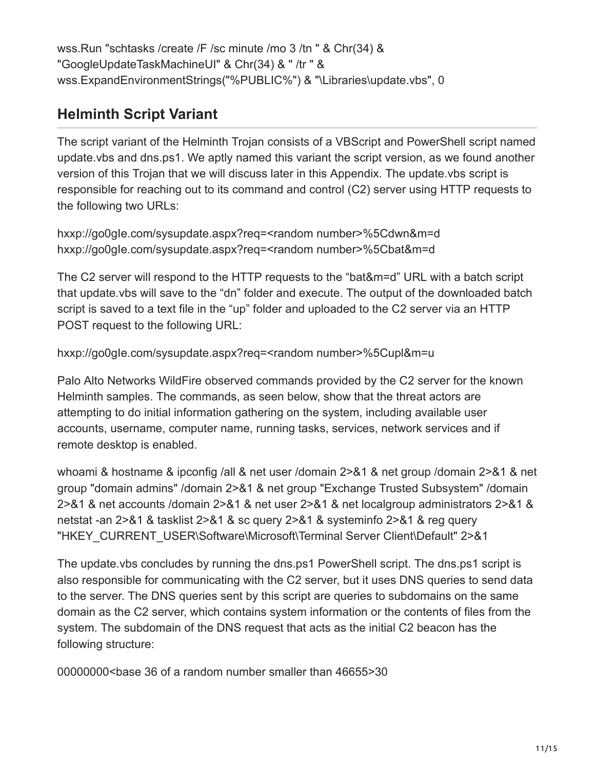wss.Run "schtasks /create /F /sc minute /mo 3 /tn " & Chr(34) & "GoogleUpdateTaskMachineUI" & Chr(34) & " /tr " & wss.ExpandEnvironmentStrings("%PUBLIC%") & "\Libraries\update.vbs", 0

## **Helminth Script Variant**

The script variant of the Helminth Trojan consists of a VBScript and PowerShell script named update.vbs and dns.ps1. We aptly named this variant the script version, as we found another version of this Trojan that we will discuss later in this Appendix. The update.vbs script is responsible for reaching out to its command and control (C2) server using HTTP requests to the following two URLs:

hxxp://go0gIe.com/sysupdate.aspx?req=<random number>%5Cdwn&m=d hxxp://go0gIe.com/sysupdate.aspx?req=<random number>%5Cbat&m=d

The C2 server will respond to the HTTP requests to the "bat&m=d" URL with a batch script that update.vbs will save to the "dn" folder and execute. The output of the downloaded batch script is saved to a text file in the "up" folder and uploaded to the C2 server via an HTTP POST request to the following URL:

hxxp://go0gIe.com/sysupdate.aspx?req=<random number>%5Cupl&m=u

Palo Alto Networks WildFire observed commands provided by the C2 server for the known Helminth samples. The commands, as seen below, show that the threat actors are attempting to do initial information gathering on the system, including available user accounts, username, computer name, running tasks, services, network services and if remote desktop is enabled.

whoami & hostname & ipconfig /all & net user /domain 2>&1 & net group /domain 2>&1 & net group "domain admins" /domain 2>&1 & net group "Exchange Trusted Subsystem" /domain 2>&1 & net accounts /domain 2>&1 & net user 2>&1 & net localgroup administrators 2>&1 & netstat -an 2>&1 & tasklist 2>&1 & sc query 2>&1 & systeminfo 2>&1 & reg query "HKEY\_CURRENT\_USER\Software\Microsoft\Terminal Server Client\Default" 2>&1

The update.vbs concludes by running the dns.ps1 PowerShell script. The dns.ps1 script is also responsible for communicating with the C2 server, but it uses DNS queries to send data to the server. The DNS queries sent by this script are queries to subdomains on the same domain as the C2 server, which contains system information or the contents of files from the system. The subdomain of the DNS request that acts as the initial C2 beacon has the following structure:

00000000<base 36 of a random number smaller than 46655>30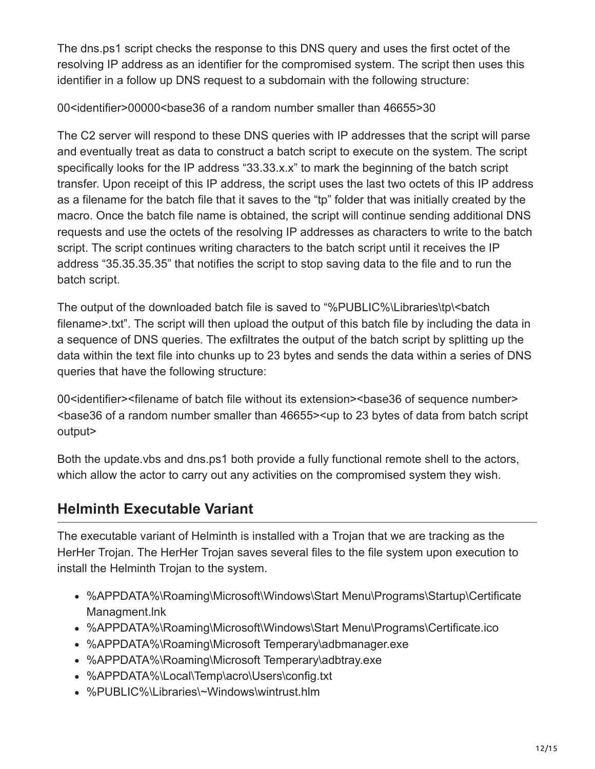The dns.ps1 script checks the response to this DNS query and uses the first octet of the resolving IP address as an identifier for the compromised system. The script then uses this identifier in a follow up DNS request to a subdomain with the following structure:

00<identifier>00000<base36 of a random number smaller than 46655>30

The C2 server will respond to these DNS queries with IP addresses that the script will parse and eventually treat as data to construct a batch script to execute on the system. The script specifically looks for the IP address "33.33.x.x" to mark the beginning of the batch script transfer. Upon receipt of this IP address, the script uses the last two octets of this IP address as a filename for the batch file that it saves to the "tp" folder that was initially created by the macro. Once the batch file name is obtained, the script will continue sending additional DNS requests and use the octets of the resolving IP addresses as characters to write to the batch script. The script continues writing characters to the batch script until it receives the IP address "35.35.35.35" that notifies the script to stop saving data to the file and to run the batch script.

The output of the downloaded batch file is saved to "%PUBLIC%\Libraries\tp\<batch filename>.txt". The script will then upload the output of this batch file by including the data in a sequence of DNS queries. The exfiltrates the output of the batch script by splitting up the data within the text file into chunks up to 23 bytes and sends the data within a series of DNS queries that have the following structure:

00<identifier><filename of batch file without its extension><base36 of sequence number> <base36 of a random number smaller than 46655><up to 23 bytes of data from batch script output>

Both the update.vbs and dns.ps1 both provide a fully functional remote shell to the actors, which allow the actor to carry out any activities on the compromised system they wish.

## **Helminth Executable Variant**

The executable variant of Helminth is installed with a Trojan that we are tracking as the HerHer Trojan. The HerHer Trojan saves several files to the file system upon execution to install the Helminth Trojan to the system.

- %APPDATA%\Roaming\Microsoft\Windows\Start Menu\Programs\Startup\Certificate Managment.lnk
- %APPDATA%\Roaming\Microsoft\Windows\Start Menu\Programs\Certificate.ico
- %APPDATA%\Roaming\Microsoft Temperary\adbmanager.exe
- %APPDATA%\Roaming\Microsoft Temperary\adbtray.exe
- %APPDATA%\Local\Temp\acro\Users\config.txt
- %PUBLIC%\Libraries\~Windows\wintrust.hlm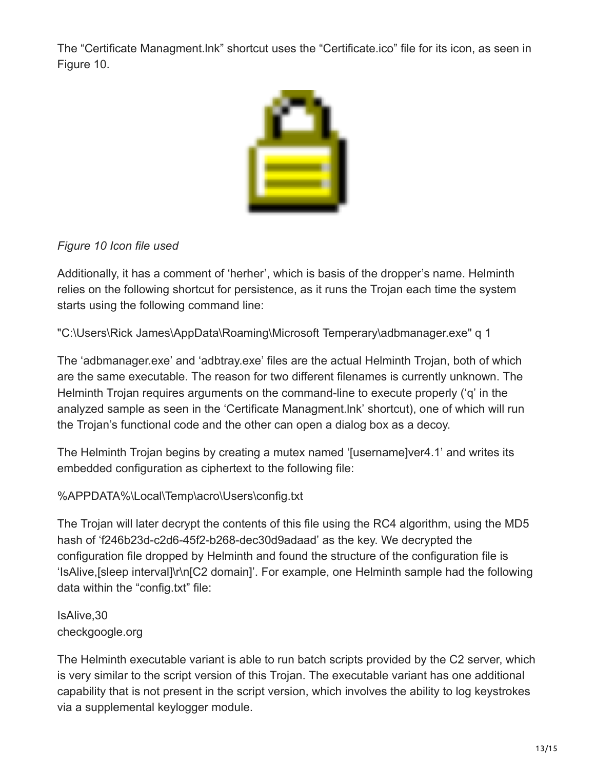The "Certificate Managment.lnk" shortcut uses the "Certificate.ico" file for its icon, as seen in Figure 10.



#### *Figure 10 Icon file used*

Additionally, it has a comment of 'herher', which is basis of the dropper's name. Helminth relies on the following shortcut for persistence, as it runs the Trojan each time the system starts using the following command line:

"C:\Users\Rick James\AppData\Roaming\Microsoft Temperary\adbmanager.exe" q 1

The 'adbmanager.exe' and 'adbtray.exe' files are the actual Helminth Trojan, both of which are the same executable. The reason for two different filenames is currently unknown. The Helminth Trojan requires arguments on the command-line to execute properly ('q' in the analyzed sample as seen in the 'Certificate Managment.lnk' shortcut), one of which will run the Trojan's functional code and the other can open a dialog box as a decoy.

The Helminth Trojan begins by creating a mutex named '[username]ver4.1' and writes its embedded configuration as ciphertext to the following file:

#### %APPDATA%\Local\Temp\acro\Users\config.txt

The Trojan will later decrypt the contents of this file using the RC4 algorithm, using the MD5 hash of 'f246b23d-c2d6-45f2-b268-dec30d9adaad' as the key. We decrypted the configuration file dropped by Helminth and found the structure of the configuration file is 'IsAlive,[sleep interval]\r\n[C2 domain]'. For example, one Helminth sample had the following data within the "config.txt" file:

#### IsAlive,30 checkgoogle.org

The Helminth executable variant is able to run batch scripts provided by the C2 server, which is very similar to the script version of this Trojan. The executable variant has one additional capability that is not present in the script version, which involves the ability to log keystrokes via a supplemental keylogger module.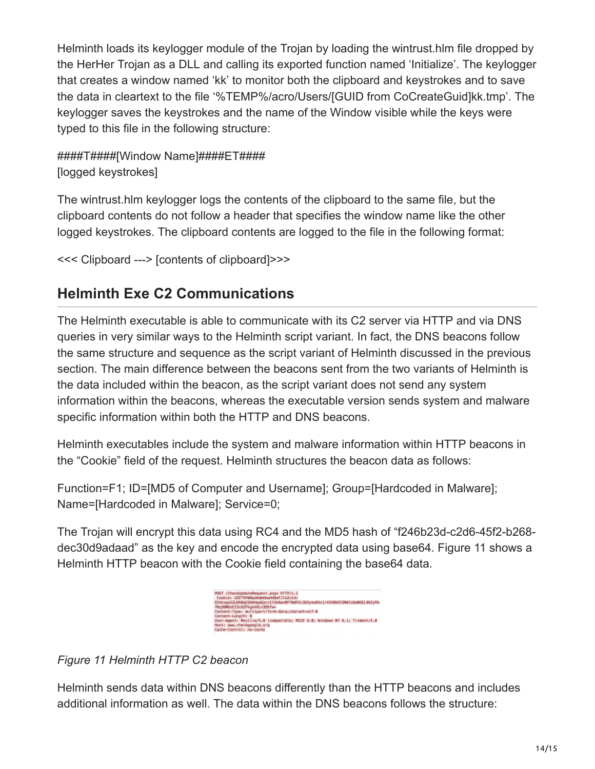Helminth loads its keylogger module of the Trojan by loading the wintrust.hlm file dropped by the HerHer Trojan as a DLL and calling its exported function named 'Initialize'. The keylogger that creates a window named 'kk' to monitor both the clipboard and keystrokes and to save the data in cleartext to the file '%TEMP%/acro/Users/[GUID from CoCreateGuid]kk.tmp'. The keylogger saves the keystrokes and the name of the Window visible while the keys were typed to this file in the following structure:

## ####T####[Window Name]####ET#### [logged keystrokes]

The wintrust.hlm keylogger logs the contents of the clipboard to the same file, but the clipboard contents do not follow a header that specifies the window name like the other logged keystrokes. The clipboard contents are logged to the file in the following format:

```
<<< Clipboard ---> [contents of clipboard]>>>
```
## **Helminth Exe C2 Communications**

The Helminth executable is able to communicate with its C2 server via HTTP and via DNS queries in very similar ways to the Helminth script variant. In fact, the DNS beacons follow the same structure and sequence as the script variant of Helminth discussed in the previous section. The main difference between the beacons sent from the two variants of Helminth is the data included within the beacon, as the script variant does not send any system information within the beacons, whereas the executable version sends system and malware specific information within both the HTTP and DNS beacons.

Helminth executables include the system and malware information within HTTP beacons in the "Cookie" field of the request. Helminth structures the beacon data as follows:

Function=F1; ID=[MD5 of Computer and Username]; Group=[Hardcoded in Malware]; Name=[Hardcoded in Malware]; Service=0;

The Trojan will encrypt this data using RC4 and the MD5 hash of "f246b23d-c2d6-45f2-b268 dec30d9adaad" as the key and encode the encrypted data using base64. Figure 11 shows a Helminth HTTP beacon with the Cookie field containing the base64 data.



*Figure 11 Helminth HTTP C2 beacon*

Helminth sends data within DNS beacons differently than the HTTP beacons and includes additional information as well. The data within the DNS beacons follows the structure: